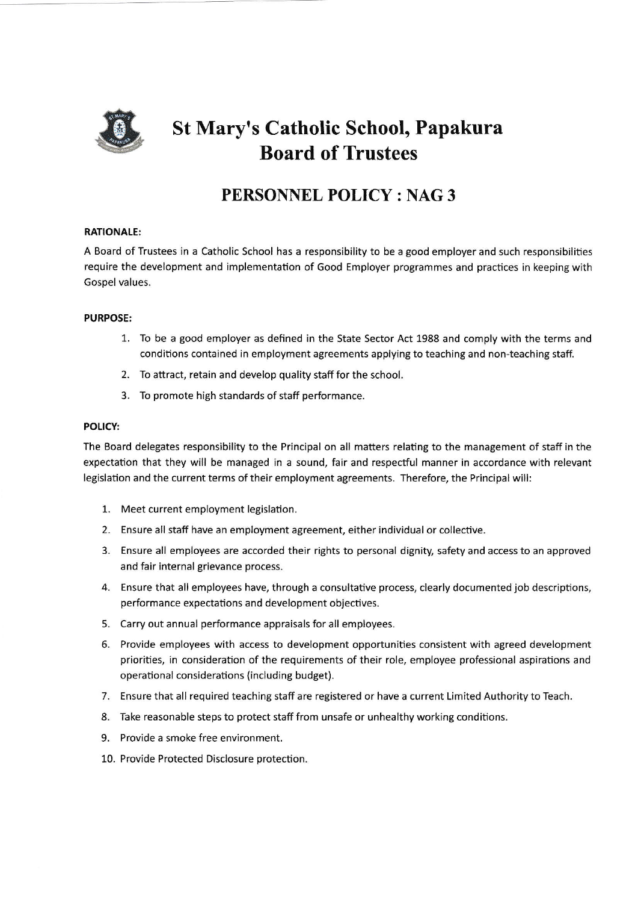

# St Mary's Catholic School, Papakura Board of Trustees

# PERSONNEL POLICY: NAG3

## RATIONALE:

A Board of Trustees in a Catholic School has a responsibility to be a good employer and such responsibilities require the development and implementation of Good Employer programmes and practices in keeping with Gospel values.

## PURPOSE:

- 1. To be a good employer as defined in the State Sector Act 1988 and comply with the terms and conditions contained in employment agreements applying to teaching and non-teaching staff.
- 2. To attract, retain and develop quality staff for the school.
- 3. To promote high standards of staff performance

#### POLICY:

The Board delegates responsibility to the Principal on all matters relating to the management of staff in the expectation that they will be managed in a sound, fair and respectful manner in accordance with relevant legislation and the current terms of their employment agreements. Therefore, the Principal will:

- Meet current employment legislation. 1.
- Ensure all staff have an employment agreement, either individual or collective. 2.
- 3. Ensure all employees are accorded their rights to personal dignity, safety and access to an approvec and fair internal grievance process.
- 4. Ensure that all employees have, through a consultative process, clearly documented job descriptions performance expectations and development objectives.
- Carry out annual performance appraisals for all employees. 5.
- 6. Provide employees with access to development opportunities consistent with agreed developmen priorities, in consideration of the requirements of their role, employee professional aspirations and operational considerations (including budget).
- 7. Ensure that all required teaching staff are registered or have a current Limited Authority to Teach
- Take reasonable steps to protect staff from unsafe or unhealthy working conditions. 8.
- 9. Provide a smoke free environment
- 10. Provide Protected Disclosure protection.